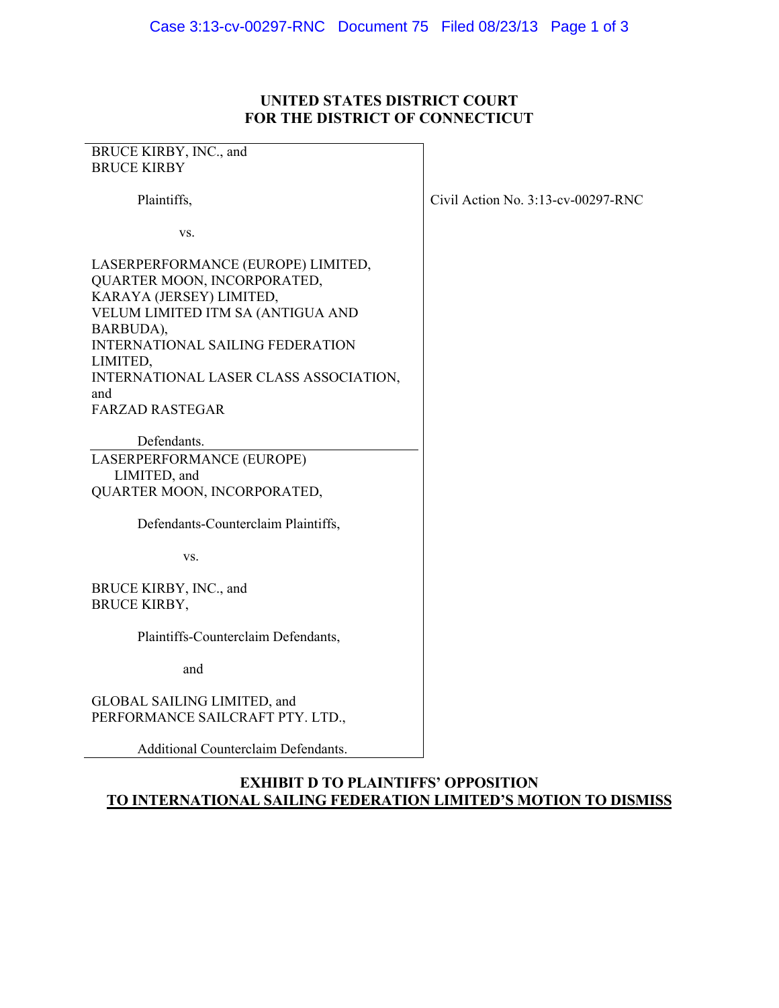## **UNITED STATES DISTRICT COURT FOR THE DISTRICT OF CONNECTICUT**

| BRUCE KIRBY, INC., and<br><b>BRUCE KIRBY</b>                                                                                                                                                                                                            |                                    |
|---------------------------------------------------------------------------------------------------------------------------------------------------------------------------------------------------------------------------------------------------------|------------------------------------|
| Plaintiffs,                                                                                                                                                                                                                                             | Civil Action No. 3:13-cv-00297-RNC |
| VS.                                                                                                                                                                                                                                                     |                                    |
| LASERPERFORMANCE (EUROPE) LIMITED,<br>QUARTER MOON, INCORPORATED,<br>KARAYA (JERSEY) LIMITED,<br>VELUM LIMITED ITM SA (ANTIGUA AND<br>BARBUDA),<br><b>INTERNATIONAL SAILING FEDERATION</b><br>LIMITED,<br>INTERNATIONAL LASER CLASS ASSOCIATION,<br>and |                                    |
| <b>FARZAD RASTEGAR</b>                                                                                                                                                                                                                                  |                                    |
| Defendants.<br>LASERPERFORMANCE (EUROPE)<br>LIMITED, and<br>QUARTER MOON, INCORPORATED,                                                                                                                                                                 |                                    |
| Defendants-Counterclaim Plaintiffs,                                                                                                                                                                                                                     |                                    |
| VS.                                                                                                                                                                                                                                                     |                                    |
| BRUCE KIRBY, INC., and<br><b>BRUCE KIRBY,</b>                                                                                                                                                                                                           |                                    |
| Plaintiffs-Counterclaim Defendants,                                                                                                                                                                                                                     |                                    |
| and                                                                                                                                                                                                                                                     |                                    |
| GLOBAL SAILING LIMITED, and<br>PERFORMANCE SAILCRAFT PTY. LTD.,                                                                                                                                                                                         |                                    |
| Additional Counterclaim Defendants.                                                                                                                                                                                                                     |                                    |

**EXHIBIT D TO PLAINTIFFS' OPPOSITION TO INTERNATIONAL SAILING FEDERATION LIMITED'S MOTION TO DISMISS**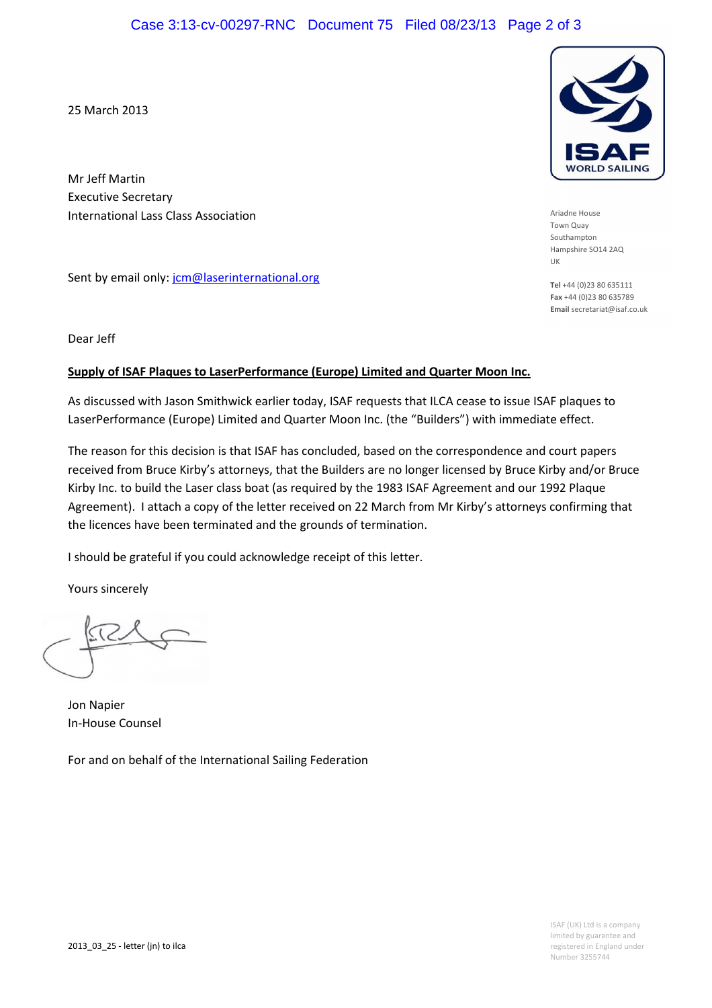25 March 2013

Mr Jeff Martin Executive Secretary International Lass Class Association

Sent by email only: jcm@laserinternational.org

Dear Jeff

## Supply of ISAF Plaques to LaserPerformance (Europe) Limited and Quarter Moon Inc.

As discussed with Jason Smithwick earlier today, ISAF requests that ILCA cease to issue ISAF plaques to LaserPerformance (Europe) Limited and Quarter Moon Inc. (the "Builders") with immediate effect.

The reason for this decision is that ISAF has concluded, based on the correspondence and court papers received from Bruce Kirby's attorneys, that the Builders are no longer licensed by Bruce Kirby and/or Bruce Kirby Inc. to build the Laser class boat (as required by the 1983 ISAF Agreement and our 1992 Plaque Agreement). I attach a copy of the letter received on 22 March from Mr Kirby's attorneys confirming that the licences have been terminated and the grounds of termination.

I should be grateful if you could acknowledge receipt of this letter.

Yours sincerely

Jon Napier In-House Counsel

For and on behalf of the International Sailing Federation



Tel +44 (0)23 80 635111 Fax +44 (0)23 80 635789 Email secretariat@isaf.co.uk

UK